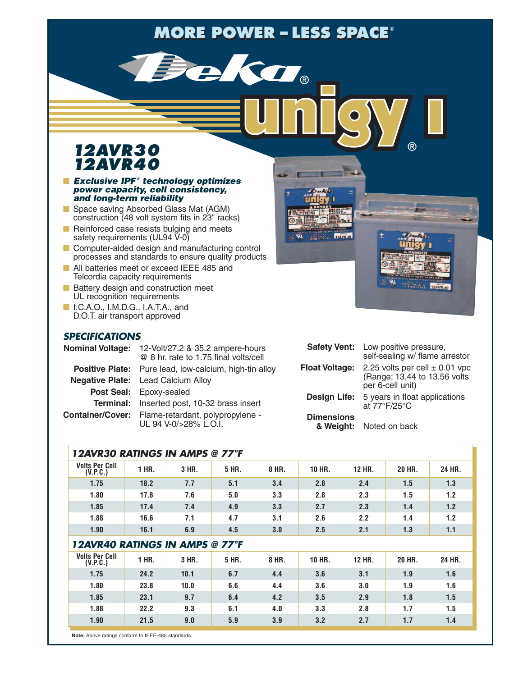# $MORE$  **POWER – LESS SPACE®**

KOT.

### *12AVR30 12AVR40*

#### **■** *Exclusive IPF ® technology optimizes power capacity, cell consistency, and long-term reliability*

- **■** Space saving Absorbed Glass Mat (AGM)  $\frac{1}{2}$  construction (48 volt system fits in 23" racks)
- Reinforced case resists bulging and meets safety requirements (UL94 V-0)
- Computer-aided design and manufacturing control processes and standards to ensure quality products
- All batteries meet or exceed IEEE 485 and Telcordia capacity requirements
- Battery design and construction meet UL recognition requirements
- **I.C.A.O., I.M.D.G., I.A.T.A., and** D.O.T. air transport approved

### *SPECIFICATIONS*

| Nominal Voltage: 12-Volt/27.2 & 35.2 ampere-hours<br>@ 8 hr. rate to 1.75 final volts/cell | Safety Vent: Low positive pressure,<br>self-sealing w/ flame arrestor |                                                   |  |  |  |
|--------------------------------------------------------------------------------------------|-----------------------------------------------------------------------|---------------------------------------------------|--|--|--|
| <b>Positive Plate:</b> Pure lead, low-calcium, high-tin alloy                              | <b>Float Voltage:</b>                                                 |                                                   |  |  |  |
| <b>Negative Plate:</b> Lead Calcium Alloy                                                  |                                                                       | (Range: 13.44 to 13.56 volts)<br>per 6-cell unit) |  |  |  |
| Post Seal: Epoxy-sealed                                                                    |                                                                       | <b>Design Life:</b> 5 years in float applications |  |  |  |
| Terminal: Inserted post, 10-32 brass insert                                                |                                                                       | at 77°F/25°C                                      |  |  |  |
| Container/Cover: Flame-retardant, polypropylene -                                          | <b>Dimensions</b>                                                     |                                                   |  |  |  |
| UL 94 V-0/>28% L.O.I.                                                                      |                                                                       | & Weight: Noted on back                           |  |  |  |

| 12AVR30 RATINGS IN AMPS @ 77°F    |       |       |       |       |               |               |        |        |  |  |
|-----------------------------------|-------|-------|-------|-------|---------------|---------------|--------|--------|--|--|
| <b>Volts Per Cell</b><br>(V.P.C.) | 1 HR. | 3 HR. | 5 HR. | 8 HR. | 10 HR.        | <b>12 HR.</b> | 20 HR. | 24 HR. |  |  |
| 1.75                              | 18.2  | 7.7   | 5.1   | 3.4   | 2.8           | 2.4           | 1.5    | 1.3    |  |  |
| 1.80                              | 17.8  | 7.6   | 5.0   | 3.3   | 2.8           | 2.3           | 1.5    | 1.2    |  |  |
| 1.85                              | 17.4  | 7.4   | 4.9   | 3.3   | 2.7           | 2.3           | 1.4    | 1.2    |  |  |
| 1.88                              | 16.6  | 7.1   | 4.7   | 3.1   | 2.6           | 2.2           | 1.4    | 1.2    |  |  |
| 1.90                              | 16.1  | 6.9   | 4.5   | 3.0   | 2.5           | 2.1           | 1.3    | 1.1    |  |  |
| 12AVR40 RATINGS IN AMPS @ 77°F    |       |       |       |       |               |               |        |        |  |  |
| <b>Volts Per Cell</b><br>(V.P.C.) | 1 HR. | 3 HR. | 5 HR. | 8 HR. | <b>10 HR.</b> | <b>12 HR.</b> | 20 HR. | 24 HR. |  |  |
| 1.75                              | 24.2  | 10.1  | 6.7   | 4.4   | 3.6           | 3.1           | 1.9    | 1.6    |  |  |
| 1.80                              | 23.8  | 10.0  | 6.6   | 4.4   | 3.6           | 3.0           | 1.9    | 1.6    |  |  |
| 1.85                              | 23.1  | 9.7   | 6.4   | 4.2   | 3.5           | 2.9           | 1.8    | 1.5    |  |  |
| 1.88                              | 22.2  | 9.3   | 6.1   | 4.0   | 3.3           | 2.8           | 1.7    | 1.5    |  |  |
| 1.90                              | 21.5  | 9.0   | 5.9   | 3.9   | 3.2           | 2.7           | 1.7    | 1.4    |  |  |

**Note:** Above ratings conform to IEEE-485 standards.